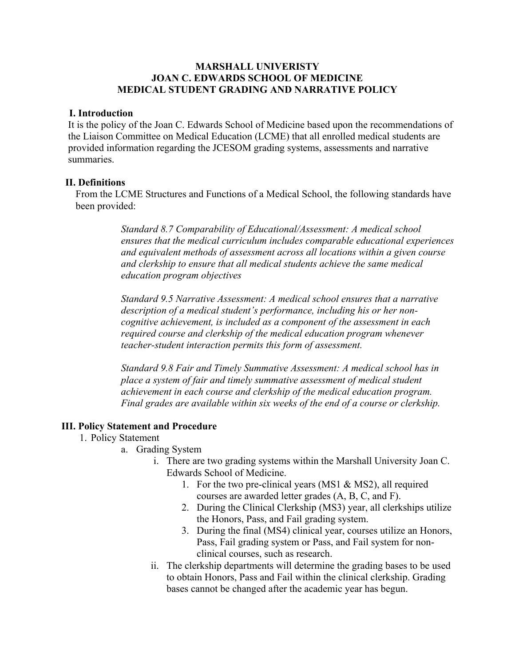## **MARSHALL UNIVERISTY JOAN C. EDWARDS SCHOOL OF MEDICINE MEDICAL STUDENT GRADING AND NARRATIVE POLICY**

## **I. Introduction**

It is the policy of the Joan C. Edwards School of Medicine based upon the recommendations of the Liaison Committee on Medical Education (LCME) that all enrolled medical students are provided information regarding the JCESOM grading systems, assessments and narrative summaries.

## **II. Definitions**

From the LCME Structures and Functions of a Medical School, the following standards have been provided:

> *Standard 8.7 Comparability of Educational/Assessment: A medical school ensures that the medical curriculum includes comparable educational experiences and equivalent methods of assessment across all locations within a given course and clerkship to ensure that all medical students achieve the same medical education program objectives*

*Standard 9.5 Narrative Assessment: A medical school ensures that a narrative description of a medical student's performance, including his or her noncognitive achievement, is included as a component of the assessment in each required course and clerkship of the medical education program whenever teacher-student interaction permits this form of assessment.*

*Standard 9.8 Fair and Timely Summative Assessment: A medical school has in place a system of fair and timely summative assessment of medical student achievement in each course and clerkship of the medical education program. Final grades are available within six weeks of the end of a course or clerkship.*

## **III. Policy Statement and Procedure**

- 1. Policy Statement
	- a. Grading System
		- i. There are two grading systems within the Marshall University Joan C. Edwards School of Medicine.
			- 1. For the two pre-clinical years (MS1 & MS2), all required courses are awarded letter grades (A, B, C, and F).
			- 2. During the Clinical Clerkship (MS3) year, all clerkships utilize the Honors, Pass, and Fail grading system.
			- 3. During the final (MS4) clinical year, courses utilize an Honors, Pass, Fail grading system or Pass, and Fail system for nonclinical courses, such as research.
		- ii. The clerkship departments will determine the grading bases to be used to obtain Honors, Pass and Fail within the clinical clerkship. Grading bases cannot be changed after the academic year has begun.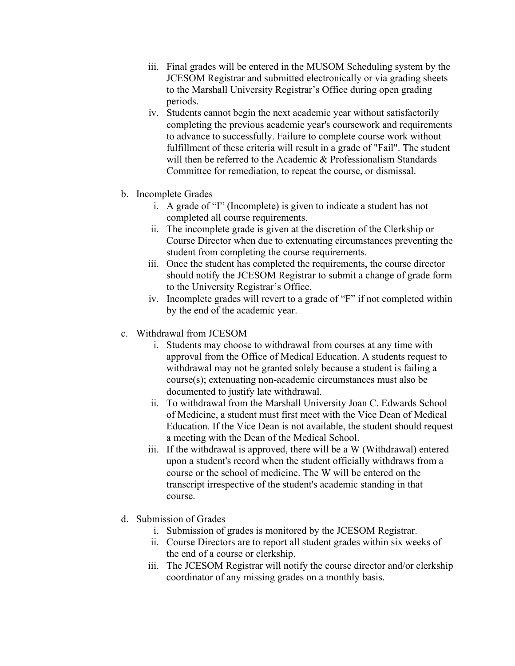- iii. Final grades will be entered in the MUSOM Scheduling system by the JCESOM Registrar and submitted electronically or via grading sheets to the Marshall University Registrar's Office during open grading periods.
- iv. Students cannot begin the next academic year without satisfactorily completing the previous academic year's coursework and requirements to advance to successfully. Failure to complete course work without fulfillment of these criteria will result in a grade of "Fail". The student will then be referred to the Academic & Professionalism Standards Committee for remediation, to repeat the course, or dismissal.
- b. Incomplete Grades
	- i. A grade of "I" (Incomplete) is given to indicate a student has not completed all course requirements.
	- ii. The incomplete grade is given at the discretion of the Clerkship or Course Director when due to extenuating circumstances preventing the student from completing the course requirements.
	- iii. Once the student has completed the requirements, the course director should notify the JCESOM Registrar to submit a change of grade form to the University Registrar's Office.
	- iv. Incomplete grades will revert to a grade of "F" if not completed within by the end of the academic year.
- c. Withdrawal from JCESOM
	- i. Students may choose to withdrawal from courses at any time with approval from the Office of Medical Education. A students request to withdrawal may not be granted solely because a student is failing a course(s); extenuating non-academic circumstances must also be documented to justify late withdrawal.
	- ii. To withdrawal from the Marshall University Joan C. Edwards School of Medicine, a student must first meet with the Vice Dean of Medical Education. If the Vice Dean is not available, the student should request a meeting with the Dean of the Medical School.
	- iii. If the withdrawal is approved, there will be a W (Withdrawal) entered upon a student's record when the student officially withdraws from a course or the school of medicine. The W will be entered on the transcript irrespective of the student's academic standing in that course.
- d. Submission of Grades
	- i. Submission of grades is monitored by the JCESOM Registrar.
	- ii. Course Directors are to report all student grades within six weeks of the end of a course or clerkship.
	- iii. The JCESOM Registrar will notify the course director and/or clerkship coordinator of any missing grades on a monthly basis.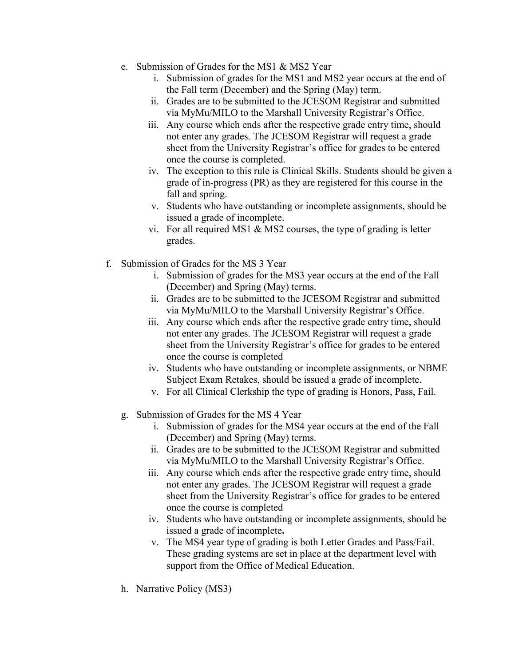- e. Submission of Grades for the MS1 & MS2 Year
	- i. Submission of grades for the MS1 and MS2 year occurs at the end of the Fall term (December) and the Spring (May) term.
	- ii. Grades are to be submitted to the JCESOM Registrar and submitted via MyMu/MILO to the Marshall University Registrar's Office.
	- iii. Any course which ends after the respective grade entry time, should not enter any grades. The JCESOM Registrar will request a grade sheet from the University Registrar's office for grades to be entered once the course is completed.
	- iv. The exception to this rule is Clinical Skills. Students should be given a grade of in-progress (PR) as they are registered for this course in the fall and spring.
	- v. Students who have outstanding or incomplete assignments, should be issued a grade of incomplete.
	- vi. For all required MS1 & MS2 courses, the type of grading is letter grades.
- f. Submission of Grades for the MS 3 Year
	- i. Submission of grades for the MS3 year occurs at the end of the Fall (December) and Spring (May) terms.
	- ii. Grades are to be submitted to the JCESOM Registrar and submitted via MyMu/MILO to the Marshall University Registrar's Office.
	- iii. Any course which ends after the respective grade entry time, should not enter any grades. The JCESOM Registrar will request a grade sheet from the University Registrar's office for grades to be entered once the course is completed
	- iv. Students who have outstanding or incomplete assignments, or NBME Subject Exam Retakes, should be issued a grade of incomplete.
	- v. For all Clinical Clerkship the type of grading is Honors, Pass, Fail.
	- g. Submission of Grades for the MS 4 Year
		- i. Submission of grades for the MS4 year occurs at the end of the Fall (December) and Spring (May) terms.
		- ii. Grades are to be submitted to the JCESOM Registrar and submitted via MyMu/MILO to the Marshall University Registrar's Office.
		- iii. Any course which ends after the respective grade entry time, should not enter any grades. The JCESOM Registrar will request a grade sheet from the University Registrar's office for grades to be entered once the course is completed
		- iv. Students who have outstanding or incomplete assignments, should be issued a grade of incomplete**.**
		- v. The MS4 year type of grading is both Letter Grades and Pass/Fail. These grading systems are set in place at the department level with support from the Office of Medical Education.
	- h. Narrative Policy (MS3)